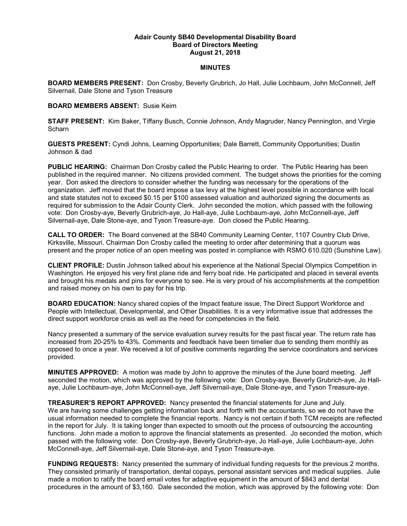## Adair County SB40 Developmental Disability Board Board of Directors Meeting August 21, 2018

## MINUTES

BOARD MEMBERS PRESENT: Don Crosby, Beverly Grubrich, Jo Hall, Julie Lochbaum, John McConnell, Jeff Silvernail, Dale Stone and Tyson Treasure

## BOARD MEMBERS ABSENT: Susie Keim

STAFF PRESENT: Kim Baker, Tiffany Busch, Connie Johnson, Andy Magruder, Nancy Pennington, and Virgie **Scharn** 

GUESTS PRESENT: Cyndi Johns, Learning Opportunities; Dale Barrett, Community Opportunities; Dustin Johnson & dad

PUBLIC HEARING: Chairman Don Crosby called the Public Hearing to order. The Public Hearing has been published in the required manner. No citizens provided comment. The budget shows the priorities for the coming year. Don asked the directors to consider whether the funding was necessary for the operations of the organization. Jeff moved that the board impose a tax levy at the highest level possible in accordance with local and state statutes not to exceed \$0.15 per \$100 assessed valuation and authorized signing the documents as required for submission to the Adair County Clerk. John seconded the motion, which passed with the following vote: Don Crosby-aye, Beverly Grubrich-aye, Jo Hall-aye, Julie Lochbaum-aye, John McConnell-aye, Jeff Silvernail-aye, Dale Stone-aye, and Tyson Treasure-aye. Don closed the Public Hearing.

CALL TO ORDER: The Board convened at the SB40 Community Learning Center, 1107 Country Club Drive, Kirksville, Missouri. Chairman Don Crosby called the meeting to order after determining that a quorum was present and the proper notice of an open meeting was posted in compliance with RSMO 610.020 (Sunshine Law).

CLIENT PROFILE: Dustin Johnson talked about his experience at the National Special Olympics Competition in Washington. He enjoyed his very first plane ride and ferry boat ride. He participated and placed in several events and brought his medals and pins for everyone to see. He is very proud of his accomplishments at the competition and raised money on his own to pay for his trip.

BOARD EDUCATION: Nancy shared copies of the Impact feature issue, The Direct Support Workforce and People with Intellectual, Developmental, and Other Disabilities. It is a very informative issue that addresses the direct support workforce crisis as well as the need for competencies in the field.

Nancy presented a summary of the service evaluation survey results for the past fiscal year. The return rate has increased from 20-25% to 43%. Comments and feedback have been timelier due to sending them monthly as opposed to once a year. We received a lot of positive comments regarding the service coordinators and services provided.

MINUTES APPROVED: A motion was made by John to approve the minutes of the June board meeting. Jeff seconded the motion, which was approved by the following vote: Don Crosby-aye, Beverly Grubrich-aye, Jo Hallaye, Julie Lochbaum-aye, John McConnell-aye, Jeff Silvernail-aye, Dale Stone-aye, and Tyson Treasure-aye.

TREASURER'S REPORT APPROVED: Nancy presented the financial statements for June and July. We are having some challenges getting information back and forth with the accountants, so we do not have the usual information needed to complete the financial reports. Nancy is not certain if both TCM receipts are reflected in the report for July. It is taking longer than expected to smooth out the process of outsourcing the accounting functions. John made a motion to approve the financial statements as presented. Jo seconded the motion, which passed with the following vote: Don Crosby-aye, Beverly Grubrich-aye, Jo Hall-aye, Julie Lochbaum-aye, John McConnell-aye, Jeff Silvernail-aye, Dale Stone-aye, and Tyson Treasure-aye.

FUNDING REQUESTS: Nancy presented the summary of individual funding requests for the previous 2 months. They consisted primarily of transportation, dental copays, personal assistant services and medical supplies. Julie made a motion to ratify the board email votes for adaptive equipment in the amount of \$843 and dental procedures in the amount of \$3,160. Dale seconded the motion, which was approved by the following vote: Don